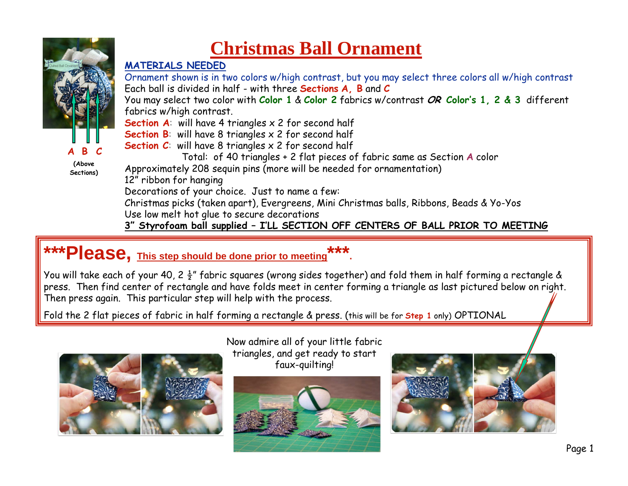

**(Above Sections)**

## **Christmas Ball Ornament**

## **MATERIALS NEEDED**

 Ornament shown is in two colors w/high contrast, but you may select three colors all w/high contrastEach ball is divided in half - with three **Sections A, B** and **<sup>C</sup>**

You may select two color with **Color 1** & **Color 2** fabrics w/contrast **OR Color's 1, 2 & 3** different fabrics w/high contrast.

**Section A:** will have 4 triangles x 2 for second half

**Section B**: will have 8 triangles x 2 for second half

**Section C**: will have 8 triangles x 2 for second half

Total: of 40 triangles + 2 flat pieces of fabric same as Section **<sup>A</sup>** color

Approximately 208 sequin pins (more will be needed for ornamentation)

12" ribbon for hanging

Decorations of your choice. Just to name a few:

 Christmas picks (taken apart), Evergreens, Mini Christmas balls, Ribbons, Beads & Yo-Yos Use low melt hot glue to secure decorations

**3" Styrofoam ball supplied – I'LL SECTION OFF CENTERS OF BALL PRIOR TO MEETING**

## **\*\*\*Please, This step should be done prior to meeting\*\*\*.**

You will take each of your 40, 2  $\frac{1}{2}$ " fabric squares (wrong sides together) and fold them in half forming a rectangle & press. Then find center of rectangle and have folds meet in center forming a triangle as last pictured below on right. Then press again. This particular step will help with the process.

Fold the 2 flat pieces of fabric in half forming a rectangle & press. (this will be for **Step 1** only) OPTIONAL



Now admire all of your little fabric triangles, and get ready to start faux-quilting!



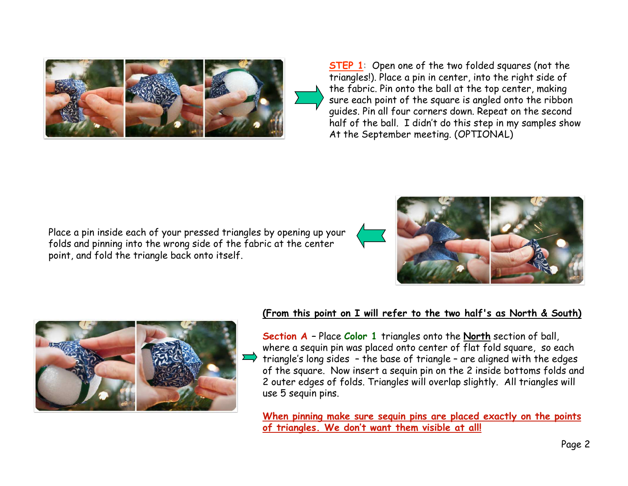

**STEP 1:** Open one of the two folded squares (not the triangles!). Place a pin in center, into the right side of the fabric. Pin onto the ball at the top center, making sure each point of the square is angled onto the ribbon guides. Pin all four corners down. Repeat on the second half of the ball. I didn't do this step in my samples show At the September meeting. (OPTIONAL)

Place a pin inside each of your pressed triangles by opening up your folds and pinning into the wrong side of the fabric at the center point, and fold the triangle back onto itself.





## **(From this point on I will refer to the two half's as North & South)**

**Section A –** Place **Color 1** triangles onto the **North** section of ball, where a sequin pin was placed onto center of flat fold square, so each triangle's long sides – the base of triangle – are aligned with the edges of the square. Now insert a sequin pin on the 2 inside bottoms folds and 2 outer edges of folds. Triangles will overlap slightly. All triangles will use 5 sequin pins.

**When pinning make sure sequin pins are placed exactly on the points of triangles. We don't want them visible at all!**